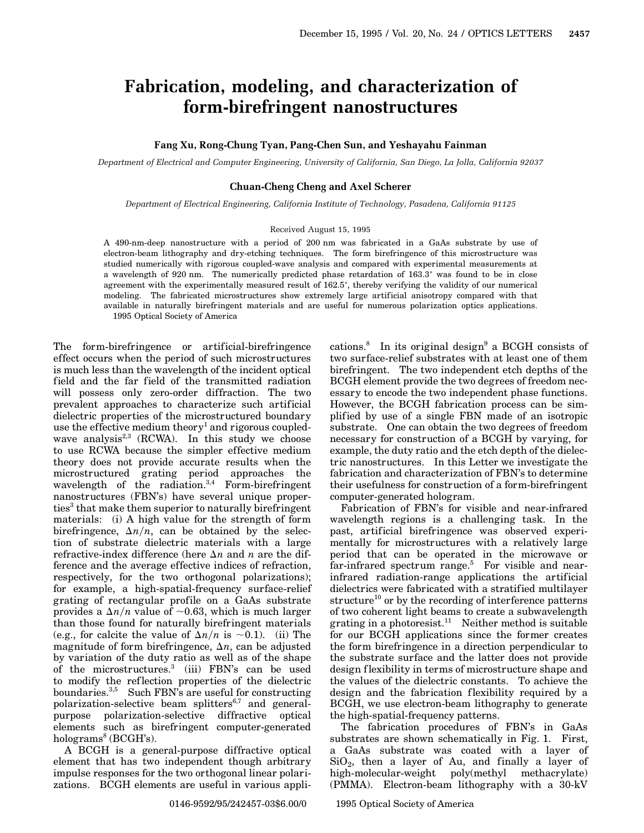# **Fabrication, modeling, and characterization of form-birefringent nanostructures**

# **Fang Xu, Rong-Chung Tyan, Pang-Chen Sun, and Yeshayahu Fainman**

*Department of Electrical and Computer Engineering, University of California, San Diego, La Jolla, California 92037*

### **Chuan-Cheng Cheng and Axel Scherer**

*Department of Electrical Engineering, California Institute of Technology, Pasadena, California 91125*

#### Received August 15, 1995

A 490-nm-deep nanostructure with a period of 200 nm was fabricated in a GaAs substrate by use of electron-beam lithography and dry-etching techniques. The form birefringence of this microstructure was studied numerically with rigorous coupled-wave analysis and compared with experimental measurements at a wavelength of 920 nm. The numerically predicted phase retardation of 163.3° was found to be in close agreement with the experimentally measured result of 162.5°, thereby verifying the validity of our numerical modeling. The fabricated microstructures show extremely large artificial anisotropy compared with that available in naturally birefringent materials and are useful for numerous polarization optics applications. 1995 Optical Society of America

The form-birefringence or artificial-birefringence effect occurs when the period of such microstructures is much less than the wavelength of the incident optical field and the far field of the transmitted radiation will possess only zero-order diffraction. The two prevalent approaches to characterize such artificial dielectric properties of the microstructured boundary use the effective medium theory<sup>1</sup> and rigorous coupledwave analysis<sup>2,3</sup> (RCWA). In this study we choose to use RCWA because the simpler effective medium theory does not provide accurate results when the microstructured grating period approaches the wavelength of the radiation. $3,4$  Form-birefringent nanostructures (FBN's) have several unique properties<sup>3</sup> that make them superior to naturally birefringent materials: (i) A high value for the strength of form birefringence,  $\Delta n/n$ , can be obtained by the selection of substrate dielectric materials with a large refractive-index difference (here  $\Delta n$  and *n* are the difference and the average effective indices of refraction, respectively, for the two orthogonal polarizations); for example, a high-spatial-frequency surface-relief grating of rectangular profile on a GaAs substrate provides a  $\Delta n/n$  value of  $\sim 0.63$ , which is much larger than those found for naturally birefringent materials (e.g., for calcite the value of  $\Delta n/n$  is  $\sim$ 0.1). (ii) The magnitude of form birefringence,  $\Delta n$ , can be adjusted by variation of the duty ratio as well as of the shape of the microstructures.<sup>3</sup> (iii) FBN's can be used to modify the reflection properties of the dielectric boundaries.<sup>3,5</sup> Such FBN's are useful for constructing polarization-selective beam splitters $6,7$  and generalpurpose polarization-selective diffractive optical elements such as birefringent computer-generated holograms<sup>8</sup> (BCGH's).

A BCGH is a general-purpose diffractive optical element that has two independent though arbitrary impulse responses for the two orthogonal linear polarizations. BCGH elements are useful in various applications.<sup>8</sup> In its original design<sup>9</sup> a BCGH consists of two surface-relief substrates with at least one of them birefringent. The two independent etch depths of the BCGH element provide the two degrees of freedom necessary to encode the two independent phase functions. However, the BCGH fabrication process can be simplified by use of a single FBN made of an isotropic substrate. One can obtain the two degrees of freedom necessary for construction of a BCGH by varying, for example, the duty ratio and the etch depth of the dielectric nanostructures. In this Letter we investigate the fabrication and characterization of FBN's to determine their usefulness for construction of a form-birefringent computer-generated hologram.

Fabrication of FBN's for visible and near-infrared wavelength regions is a challenging task. In the past, artificial birefringence was observed experimentally for microstructures with a relatively large period that can be operated in the microwave or far-infrared spectrum range.<sup>5</sup> For visible and nearinfrared radiation-range applications the artificial dielectrics were fabricated with a stratified multilayer structure<sup>10</sup> or by the recording of interference patterns of two coherent light beams to create a subwavelength grating in a photoresist.<sup>11</sup> Neither method is suitable for our BCGH applications since the former creates the form birefringence in a direction perpendicular to the substrate surface and the latter does not provide design flexibility in terms of microstructure shape and the values of the dielectric constants. To achieve the design and the fabrication flexibility required by a BCGH, we use electron-beam lithography to generate the high-spatial-frequency patterns.

The fabrication procedures of FBN's in GaAs substrates are shown schematically in Fig. 1. First, a GaAs substrate was coated with a layer of  $SiO<sub>2</sub>$ , then a layer of Au, and finally a layer of high-molecular-weight poly(methyl methacrylate) (PMMA). Electron-beam lithography with a 30-kV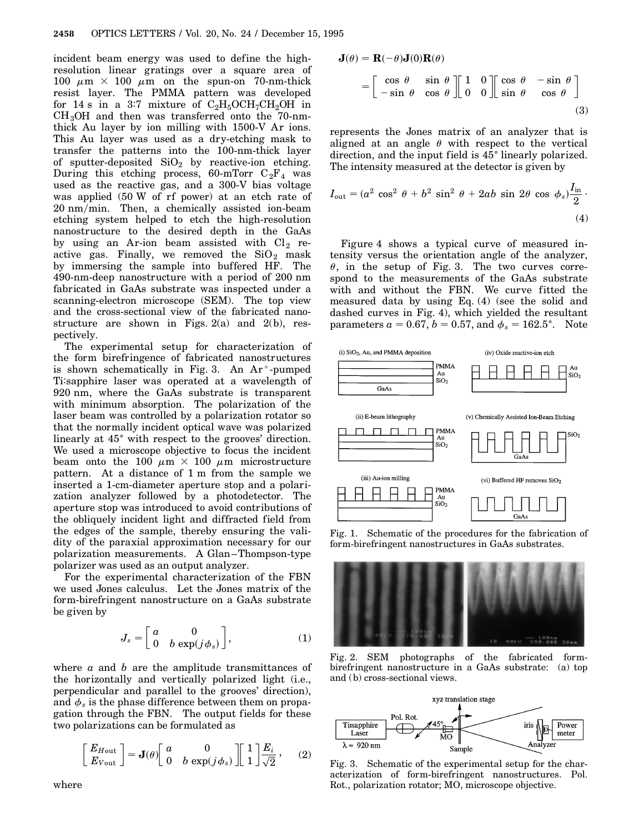incident beam energy was used to define the highresolution linear gratings over a square area of 100  $\mu$ m  $\times$  100  $\mu$ m on the spun-on 70-nm-thick resist layer. The PMMA pattern was developed for 14 s in a 3:7 mixture of  $C_2H_5OCH_7CH_2OH$  in  $CH<sub>3</sub>OH$  and then was transferred onto the 70-nmthick Au layer by ion milling with 1500-V Ar ions. This Au layer was used as a dry-etching mask to transfer the patterns into the 100-nm-thick layer of sputter-deposited  $SiO<sub>2</sub>$  by reactive-ion etching. During this etching process, 60-mTorr  $C_2F_4$  was used as the reactive gas, and a 300-V bias voltage was applied (50 W of rf power) at an etch rate of 20 nmymin. Then, a chemically assisted ion-beam etching system helped to etch the high-resolution nanostructure to the desired depth in the GaAs by using an Ar-ion beam assisted with  $Cl_2$  reactive gas. Finally, we removed the  $SiO_2$  mask by immersing the sample into buffered HF. The 490-nm-deep nanostructure with a period of 200 nm fabricated in GaAs substrate was inspected under a scanning-electron microscope (SEM). The top view and the cross-sectional view of the fabricated nanostructure are shown in Figs.  $2(a)$  and  $2(b)$ , respectively.

The experimental setup for characterization of the form birefringence of fabricated nanostructures is shown schematically in Fig. 3. An  $Ar^+$ -pumped Ti:sapphire laser was operated at a wavelength of 920 nm, where the GaAs substrate is transparent with minimum absorption. The polarization of the laser beam was controlled by a polarization rotator so that the normally incident optical wave was polarized linearly at 45° with respect to the grooves' direction. We used a microscope objective to focus the incident beam onto the 100  $\mu$ m  $\times$  100  $\mu$ m microstructure pattern. At a distance of 1 m from the sample we inserted a 1-cm-diameter aperture stop and a polarization analyzer followed by a photodetector. The aperture stop was introduced to avoid contributions of the obliquely incident light and diffracted field from the edges of the sample, thereby ensuring the validity of the paraxial approximation necessary for our polarization measurements. A Glan–Thompson-type polarizer was used as an output analyzer.

For the experimental characterization of the FBN we used Jones calculus. Let the Jones matrix of the form-birefringent nanostructure on a GaAs substrate be given by

$$
J_s = \begin{bmatrix} a & 0 \\ 0 & b \exp(j\phi_s) \end{bmatrix},
$$
 (1)

where *a* and *b* are the amplitude transmittances of the horizontally and vertically polarized light (i.e., perpendicular and parallel to the grooves' direction), and  $\phi_s$  is the phase difference between them on propagation through the FBN. The output fields for these two polarizations can be formulated as

$$
\begin{bmatrix} E_{H \text{out}} \\ E_{V \text{out}} \end{bmatrix} = \mathbf{J}(\theta) \begin{bmatrix} a & 0 \\ 0 & b \exp(j \phi_s) \end{bmatrix} \begin{bmatrix} 1 \\ 1 \end{bmatrix} \frac{E_i}{\sqrt{2}}, \quad (2)
$$

$$
\mathbf{J}(\theta) = \mathbf{R}(-\theta)\mathbf{J}(0)\mathbf{R}(\theta)
$$

$$
= \begin{bmatrix} \cos \theta & \sin \theta \\ -\sin \theta & \cos \theta \end{bmatrix} \begin{bmatrix} 1 & 0 \\ 0 & 0 \end{bmatrix} \begin{bmatrix} \cos \theta & -\sin \theta \\ \sin \theta & \cos \theta \end{bmatrix}
$$
(3)

represents the Jones matrix of an analyzer that is aligned at an angle  $\theta$  with respect to the vertical direction, and the input field is 45<sup>°</sup> linearly polarized. The intensity measured at the detector is given by

$$
I_{\text{out}} = (a^2 \cos^2 \theta + b^2 \sin^2 \theta + 2ab \sin 2\theta \cos \phi_s) \frac{I_{\text{in}}}{2} \tag{4}
$$

Figure 4 shows a typical curve of measured intensity versus the orientation angle of the analyzer,  $\theta$ , in the setup of Fig. 3. The two curves correspond to the measurements of the GaAs substrate with and without the FBN. We curve fitted the measured data by using Eq. (4) (see the solid and dashed curves in Fig. 4), which yielded the resultant parameters  $a = 0.67$ ,  $b = 0.57$ , and  $\phi_s = 162.5^{\circ}$ . Note



Fig. 1. Schematic of the procedures for the fabrication of form-birefringent nanostructures in GaAs substrates.



Fig. 2. SEM photographs of the fabricated formbirefringent nanostructure in a GaAs substrate: (a) top and (b) cross-sectional views.



Fig. 3. Schematic of the experimental setup for the characterization of form-birefringent nanostructures. Pol. Rot., polarization rotator; MO, microscope objective.

where